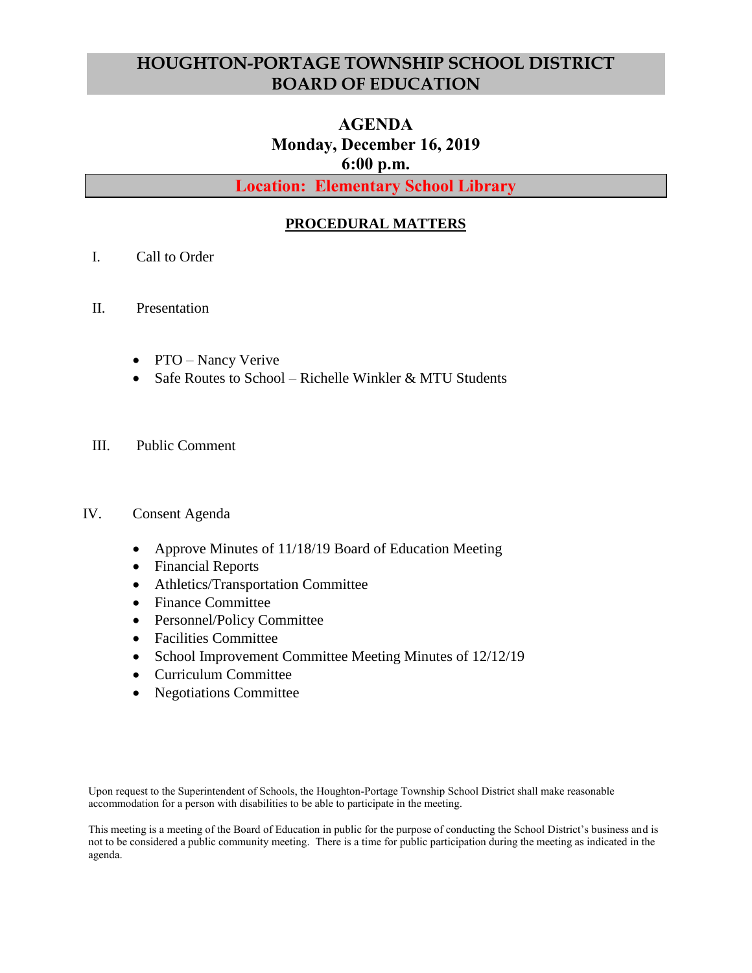# **HOUGHTON-PORTAGE TOWNSHIP SCHOOL DISTRICT BOARD OF EDUCATION**

# **AGENDA Monday, December 16, 2019 6:00 p.m.**

**Location: Elementary School Library**

## **PROCEDURAL MATTERS**

- I. Call to Order
- II. Presentation
	- PTO Nancy Verive
	- Safe Routes to School Richelle Winkler & MTU Students
- III. Public Comment

### IV. Consent Agenda

- Approve Minutes of 11/18/19 Board of Education Meeting
- Financial Reports
- Athletics/Transportation Committee
- Finance Committee
- Personnel/Policy Committee
- Facilities Committee
- School Improvement Committee Meeting Minutes of 12/12/19
- Curriculum Committee
- Negotiations Committee

Upon request to the Superintendent of Schools, the Houghton-Portage Township School District shall make reasonable accommodation for a person with disabilities to be able to participate in the meeting.

This meeting is a meeting of the Board of Education in public for the purpose of conducting the School District's business and is not to be considered a public community meeting. There is a time for public participation during the meeting as indicated in the agenda.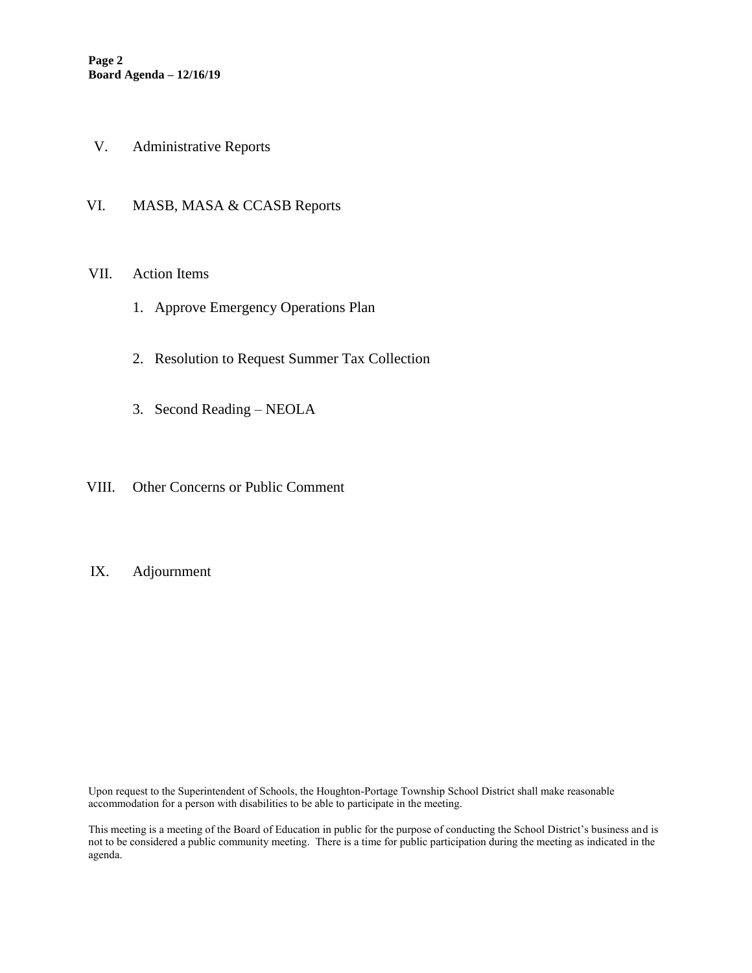- V. Administrative Reports
- VI. MASB, MASA & CCASB Reports

#### VII. Action Items

- 1. Approve Emergency Operations Plan
- 2. Resolution to Request Summer Tax Collection
- 3. Second Reading NEOLA
- VIII. Other Concerns or Public Comment

#### IX. Adjournment

Upon request to the Superintendent of Schools, the Houghton-Portage Township School District shall make reasonable accommodation for a person with disabilities to be able to participate in the meeting.

This meeting is a meeting of the Board of Education in public for the purpose of conducting the School District's business and is not to be considered a public community meeting. There is a time for public participation during the meeting as indicated in the agenda.